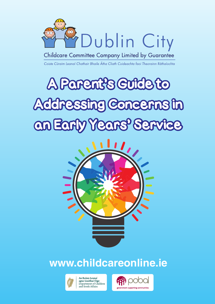

**Childcare Committee Company Limited by Guarantee** 

Coiste Cúraim Leanaí Chathair Bhaile Átha Cliath Cuideachta faoi Theorainn Ráthaíochta

# A Parent's Guide to Addressing Concerns in an Early Years' Service and a street<br>Dan



## **www.childcareonline.ie**



**An Roinn Leana** agus Gnóthaí Óige Department of Children and Youth Affairs

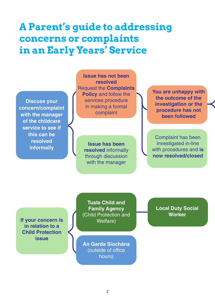## **A Parent's guide to addressing concerns or complaints in an Early Years' Service**

**Discuss your concern/complaint with the manager of the childcare service to see if this can be resolved informally**

**Issue has not been resolved** Request the **Complaints Policy** and follow the services procedure in making a formal complaint

> **Issue has been resolved** informally through discussion with the manager

**You are unhappy with the outcome of the investigation or the procedure has not been followed**

Complaint has been investigated in-line with procedures and **is now resolved/closed**

**If your concern is in relation to a Child Protection issue**

**Tusla Child and Family Agency** (Child Protection and Welfare)

**An Garda Síochána** (outside of office hours)

**Local Duty Social Worker**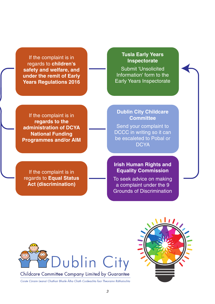If the complaint is in regards to **children's safety and welfare, and under the remit of Early Years Regulations 2016**

#### **Tusla Early Years Inspectorate**

Submit 'Unsolicited Information' form to the Early Years Inspectorate

If the complaint is in **regards to the administration of DCYA National Funding Programmes and/or AIM**

If the complaint is in regards to **Equal Status Act (discrimination)** 

#### **Dublin City Childcare Committee**

Send your complaint to DCCC in writing so it can be escaleted to Pobal or **DCYA** 

#### **Irish Human Rights and Equality Commission**

To seek advice on making a complaint under the 9 Grounds of Discrimination



Childcare Committee Company Limited by Guarantee

Coiste Cúraim Leanaí Chathair Bhaile Átha Cliath Cuideachta faoi Theorainn Ráthaíochta

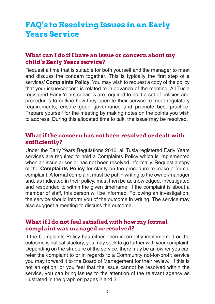## **FAQ's to Resolving Issues in an Early Years Service**

#### **What can I do if I have an issue or concern about my child's Early Years service?**

Request a time that is suitable for both yourself and the manager to meet and discuss the concern together. This is typically the first step of a services' **Complaints Policy**. You may wish to request a copy of the policy that your issue/concern is related to in advance of the meeting. All Tusla registered Early Years services are required to hold a set of policies and procedures to outline how they operate their service to meet regulatory requirements, ensure good governance and promote best practice. Prepare yourself for the meeting by making notes on the points you wish to address. During this allocated time to talk, the issue may be resolved.

#### **What if the concern has not been resolved or dealt with sufficiently?**

Under the Early Years Regulations 2016, all Tusla registered Early Years services are required to hold a Complaints Policy which is implemented when an issue arises or has not been resolved informally. Request a copy of the **Complaints Policy** for clarity on the procedure to make a formal complaint. A formal complaint must be put in writing to the owner/manager and, as indicated in their policy, must then be acknowledged, investigated and responded to within the given timeframe. If the complaint is about a member of staff, this person will be informed. Following an investigation, the service should inform you of the outcome in writing. The service may also suggest a meeting to discuss the outcome.

#### **What if I do not feel satisfied with how my formal complaint was managed or resolved?**

If the Complaints Policy has either been incorrectly implemented or the outcome is not satisfactory, you may seek to go further with your complaint. Depending on the structure of the service, there may be an owner you can refer the complaint to or in regards to a Community not-for-profit service you may forward it to the Board of Management for their review. If this is not an option, or you feel that the issue cannot be resolved within the service, you can bring issues to the attention of the relevant agency as illustrated in the graph on pages 2 and 3.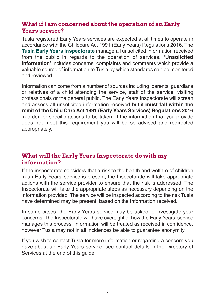#### **What if I am concerned about the operation of an Early Years service?**

Tusla registered Early Years services are expected at all times to operate in accordance with the Childcare Act 1991 (Early Years) Regulations 2016. The **Tusla Early Years Inspectorate** manage all unsolicited information received from the public in regards to the operation of services. **'Unsolicited Information'** includes concerns, complaints and comments which provide a valuable source of information to Tusla by which standards can be monitored and reviewed.

Information can come from a number of sources including; parents, guardians or relatives of a child attending the service, staff of the service, visiting professionals or the general public. The Early Years Inspectorate will screen and assess all unsolicited information received but it **must fall within the remit of the Child Care Act 1991 (Early Years Services) Regulations 2016** in order for specific actions to be taken. If the information that you provide does not meet this requirement you will be so advised and redirected appropriately.

#### **What will the Early Years Inspectorate do with my information?**

If the inspectorate considers that a risk to the health and welfare of children in an Early Years' service is present, the Inspectorate will take appropriate actions with the service provider to ensure that the risk is addressed. The Inspectorate will take the appropriate steps as necessary depending on the information provided. The service will be inspected according to the risk Tusla have determined may be present, based on the information received.

In some cases, the Early Years service may be asked to investigate your concerns. The Inspectorate will have oversight of how the Early Years' service manages this process. Information will be treated as received in confidence, however Tusla may not in all incidences be able to guarantee anonymity.

If you wish to contact Tusla for more information or regarding a concern you have about an Early Years service, see contact details in the Directory of Services at the end of this guide.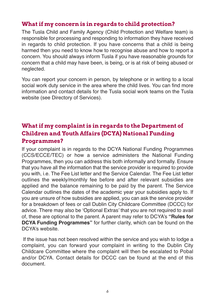#### **What if my concern is in regards to child protection?**

The Tusla Child and Family Agency (Child Protection and Welfare team) is responsible for processing and responding to information they have received in regards to child protection. If you have concerns that a child is being harmed then you need to know how to recognise abuse and how to report a concern. You should always inform Tusla if you have reasonable grounds for concern that a child may have been, is being, or is at risk of being abused or neglected.

You can report your concern in person, by telephone or in writing to a local social work duty service in the area where the child lives. You can find more information and contact details for the Tusla social work teams on the Tusla website (see Directory of Services).

#### **What if my complaint is in regards to the Department of Children and Youth Affairs (DCYA) National Funding Programmes?**

If your complaint is in regards to the DCYA National Funding Programmes (CCS/ECCE/TEC) or how a service administers the National Funding Programmes, then you can address this both informally and formally. Ensure that you have all the information that the service provider is required to provide you with, i.e. The Fee List letter and the Service Calendar. The Fee List letter outlines the weekly/monthly fee before and after relevant subsidies are applied and the balance remaining to be paid by the parent. The Service Calendar outlines the dates of the academic year your subsidies apply to. If you are unsure of how subsidies are applied, you can ask the service provider for a breakdown of fees or call Dublin City Childcare Committee (DCCC) for advice. There may also be 'Optional Extras' that you are not required to avail of, these are optional to the parent. A parent may refer to DCYA's **"Rules for DCYA Funding Programmes"** for further clarity, which can be found on the DCYA's website.

If the issue has not been resolved within the service and you wish to lodge a complaint, you can forward your complaint in writing to the Dublin City Childcare Committee where the complaint will then be escalated to Pobal and/or DCYA. Contact details for DCCC can be found at the end of this document.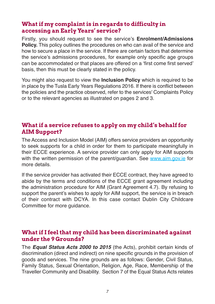#### **What if my complaint is in regards to difficulty in accessing an Early Years' service?**

Firstly, you should request to see the service's **Enrolment/Admissions Policy.** This policy outlines the procedures on who can avail of the service and how to secure a place in the service. If there are certain factors that determine the service's admissions procedures, for example only specific age groups can be accommodated or that places are offered on a 'first come first served' basis, then this must be clearly stated in the policy.

You might also request to view the **Inclusion Policy** which is required to be in place by the Tusla Early Years Regulations 2016. If there is conflict between the policies and the practice observed, refer to the services' Complaints Policy or to the relevant agencies as illustrated on pages 2 and 3.

#### **What if a service refuses to apply on my child's behalf for AIM Support?**

The Access and Inclusion Model (AIM) offers service providers an opportunity to seek supports for a child in order for them to participate meaningfully in their ECCE experience. A service provider can only apply for AIM supports with the written permission of the parent/quardian. See www.aim.gov.ie for more details.

If the service provider has activated their ECCE contract, they have agreed to abide by the terms and conditions of the ECCE grant agreement including the administration procedure for AIM (Grant Agreement 4.7). By refusing to support the parent's wishes to apply for AIM support, the service is in breach of their contract with DCYA. In this case contact Dublin City Childcare Committee for more guidance.

#### **What if I feel that my child has been discriminated against under the 9 Grounds?**

The *Equal Status Acts 2000 to 2015* (the Acts), prohibit certain kinds of discrimination (direct and indirect) on nine specific grounds in the provision of goods and services. The nine grounds are as follows: Gender, Civil Status, Family Status, Sexual Orientation, Religion, Age, Race, Membership of the Traveller Community and Disability. Section 7 of the Equal Status Acts relates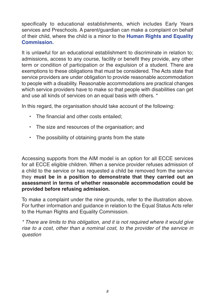specifically to educational establishments, which includes Early Years services and Preschools. A parent/guardian can make a complaint on behalf of their child, where the child is a minor to the **Human Rights and Equality Commission.**

It is unlawful for an educational establishment to discriminate in relation to; admissions, access to any course, facility or benefit they provide, any other term or condition of participation or the expulsion of a student. There are exemptions to these obligations that must be considered. The Acts state that service providers are under obligation to provide reasonable accommodation to people with a disability. Reasonable accommodations are practical changes which service providers have to make so that people with disabilities can get and use all kinds of services on an equal basis with others. \*

In this regard, the organisation should take account of the following:

- The financial and other costs entailed;
- The size and resources of the organisation; and
- The possibility of obtaining grants from the state

Accessing supports from the AIM model is an option for all ECCE services for all ECCE eligible children. When a service provider refuses admission of a child to the service or has requested a child be removed from the service they **must be in a position to demonstrate that they carried out an assessment in terms of whether reasonable accommodation could be provided before refusing admission.**

To make a complaint under the nine grounds, refer to the illustration above. For further information and guidance in relation to the Equal Status Acts refer to the Human Rights and Equality Commission.

*\* There are limits to this obligation, and it is not required where it would give rise to a cost, other than a nominal cost, to the provider of the service in question*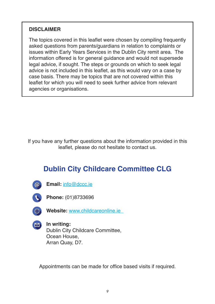#### **DISCLAIMER**

The topics covered in this leaflet were chosen by compiling frequently asked questions from parents/guardians in relation to complaints or issues within Early Years Services in the Dublin City remit area. The information offered is for general guidance and would not supersede legal advice, if sought. The steps or grounds on which to seek legal advice is not included in this leaflet, as this would vary on a case by case basis. There may be topics that are not covered within this leaflet for which you will need to seek further advice from relevant agencies or organisations.

If you have any further questions about the information provided in this leaflet, please do not hesitate to contact us.

### **Dublin City Childcare Committee CLG**



**Email:** info@dccc.ie



**Phone:** (01)8733696



**Website:** www.childcareonline.ie



**In writing:** Dublin City Childcare Committee, Ocean House, Arran Quay, D7.

Appointments can be made for office based visits if required.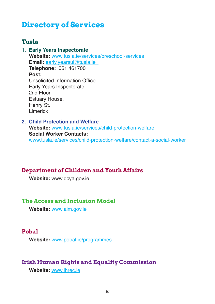## **Directory of Services**

#### **Tusla**

**1. Early Years Inspectorate Website:** www.tusla.ie/services/preschool-services **Email:** early.yearsui@tusla.ie **Telephone:** 061 461700 **Post:** Unsolicited Information Office Early Years Inspectorate 2nd Floor Estuary House, Henry St. Limerick

#### **2. Child Protection and Welfare Website:** www.tusla.ie/services/child-protection-welfare **Social Worker Contacts:** www.tusla.ie/services/child-protection-welfare/contact-a-social-worker

#### **Department of Children and Youth Affairs**

**Website:** www.dcya.gov.ie

#### **The Access and Inclusion Model**

**Website:** www.aim.gov.ie

#### **Pobal**

**Website:** www.pobal.ie/programmes

#### **Irish Human Rights and Equality Commission**

**Website:** www.ihrec.ie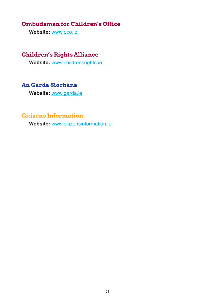#### **Ombudsman for Children's Office**

**Website:** www.oco.ie

#### **Children's Rights Alliance**

**Website:** www.childrensrights.ie

#### **An Garda Síochána**

**Website:** www.garda.ie

#### **Citizens Information**

**Website:** www.citizensinformation.ie